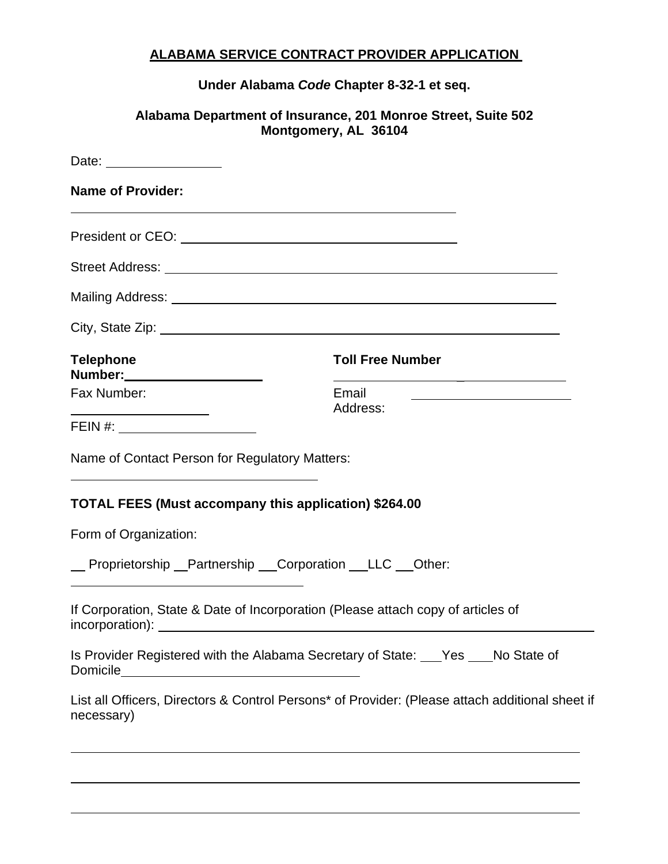## **ALABAMA SERVICE CONTRACT PROVIDER APPLICATION**

**Under Alabama** *Code* **Chapter 8-32-1 et seq.**

## **Alabama Department of Insurance, 201 Monroe Street, Suite 502 Montgomery, AL 36104**

| <b>Name of Provider:</b><br>and the control of the control of the control of the control of the control of the control of the control of the                                                                                                                                    |                                                                                                 |  |  |  |
|---------------------------------------------------------------------------------------------------------------------------------------------------------------------------------------------------------------------------------------------------------------------------------|-------------------------------------------------------------------------------------------------|--|--|--|
|                                                                                                                                                                                                                                                                                 |                                                                                                 |  |  |  |
|                                                                                                                                                                                                                                                                                 |                                                                                                 |  |  |  |
|                                                                                                                                                                                                                                                                                 |                                                                                                 |  |  |  |
|                                                                                                                                                                                                                                                                                 |                                                                                                 |  |  |  |
| <b>Telephone</b><br>Number: _____________________                                                                                                                                                                                                                               | <b>Toll Free Number</b><br><u> 1980 - Johann Barn, amerikansk politiker (d. 1980)</u>           |  |  |  |
| Fax Number:                                                                                                                                                                                                                                                                     | Email<br>Address:                                                                               |  |  |  |
| <u> 1989 - Johann Barn, fransk politik (</u><br>FEIN #: _______________________                                                                                                                                                                                                 |                                                                                                 |  |  |  |
| Name of Contact Person for Regulatory Matters:<br>the control of the control of the control of the control of the control of the control of the control of the control of the control of the control of the control of the control of the control of the control of the control |                                                                                                 |  |  |  |
| TOTAL FEES (Must accompany this application) \$264.00                                                                                                                                                                                                                           |                                                                                                 |  |  |  |
| Form of Organization:                                                                                                                                                                                                                                                           |                                                                                                 |  |  |  |
| _ Proprietorship _ Partnership _ Corporation _ LLC _ Other:                                                                                                                                                                                                                     |                                                                                                 |  |  |  |
| If Corporation, State & Date of Incorporation (Please attach copy of articles of<br>incorporation):                                                                                                                                                                             |                                                                                                 |  |  |  |
| Is Provider Registered with the Alabama Secretary of State: Ves Mo State of                                                                                                                                                                                                     |                                                                                                 |  |  |  |
| necessary)                                                                                                                                                                                                                                                                      | List all Officers, Directors & Control Persons* of Provider: (Please attach additional sheet if |  |  |  |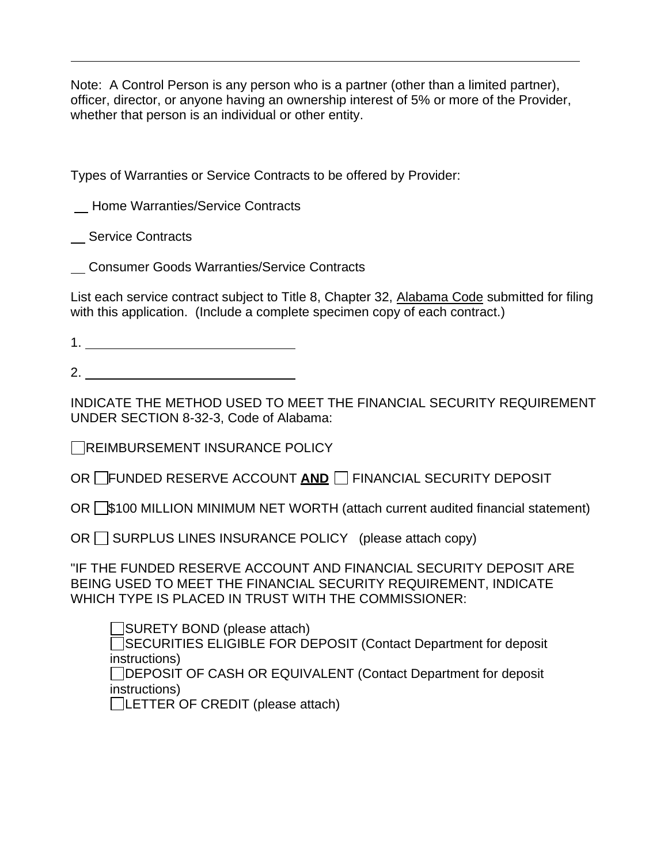Note: A Control Person is any person who is a partner (other than a limited partner), officer, director, or anyone having an ownership interest of 5% or more of the Provider, whether that person is an individual or other entity.

Types of Warranties or Service Contracts to be offered by Provider:

Home Warranties/Service Contracts

Service Contracts

Consumer Goods Warranties/Service Contracts

List each service contract subject to Title 8, Chapter 32, Alabama Code submitted for filing with this application. (Include a complete specimen copy of each contract.)

2.

INDICATE THE METHOD USED TO MEET THE FINANCIAL SECURITY REQUIREMENT UNDER SECTION 8-32-3, Code of Alabama:

REIMBURSEMENT INSURANCE POLICY

OR FUNDED RESERVE ACCOUNT AND **FINANCIAL SECURITY DEPOSIT** 

OR S100 MILLION MINIMUM NET WORTH (attach current audited financial statement)

OR  $\Box$  SURPLUS LINES INSURANCE POLICY (please attach copy)

"IF THE FUNDED RESERVE ACCOUNT AND FINANCIAL SECURITY DEPOSIT ARE BEING USED TO MEET THE FINANCIAL SECURITY REQUIREMENT, INDICATE WHICH TYPE IS PLACED IN TRUST WITH THE COMMISSIONER:

SURETY BOND (please attach)

□SECURITIES ELIGIBLE FOR DEPOSIT (Contact Department for deposit instructions)

DEPOSIT OF CASH OR EQUIVALENT (Contact Department for deposit instructions)

LETTER OF CREDIT (please attach)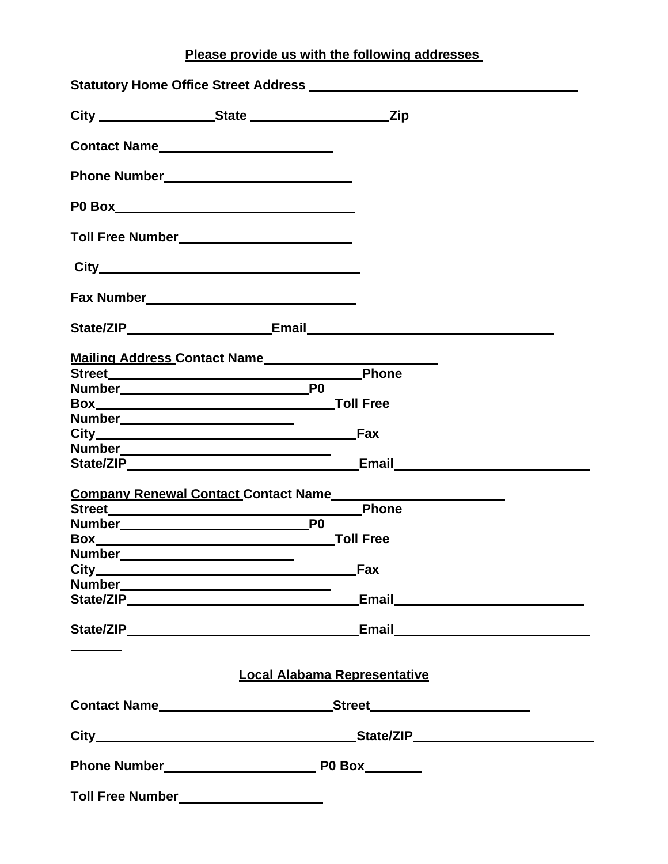**Please provide us with the following addresses**

| Toll Free Number____________________________              |                                                          |
|-----------------------------------------------------------|----------------------------------------------------------|
|                                                           |                                                          |
|                                                           |                                                          |
|                                                           |                                                          |
|                                                           | Mailing Address Contact Name____________________________ |
|                                                           | <b>Phone</b>                                             |
|                                                           |                                                          |
|                                                           |                                                          |
| Number___________________________                         |                                                          |
|                                                           |                                                          |
|                                                           |                                                          |
|                                                           | Email <b>Email</b>                                       |
|                                                           |                                                          |
| <b>Company Renewal Contact Contact Name</b>               |                                                          |
|                                                           |                                                          |
|                                                           |                                                          |
| Number_                                                   |                                                          |
| <u> 1989 - Johann Barnett, fransk politiker (d. 1989)</u> | Fax                                                      |
|                                                           |                                                          |
|                                                           | Email <b>Email</b>                                       |
|                                                           |                                                          |
|                                                           |                                                          |
|                                                           | <b>Local Alabama Representative</b>                      |
|                                                           | Contact Name Street                                      |
|                                                           |                                                          |
|                                                           |                                                          |
|                                                           |                                                          |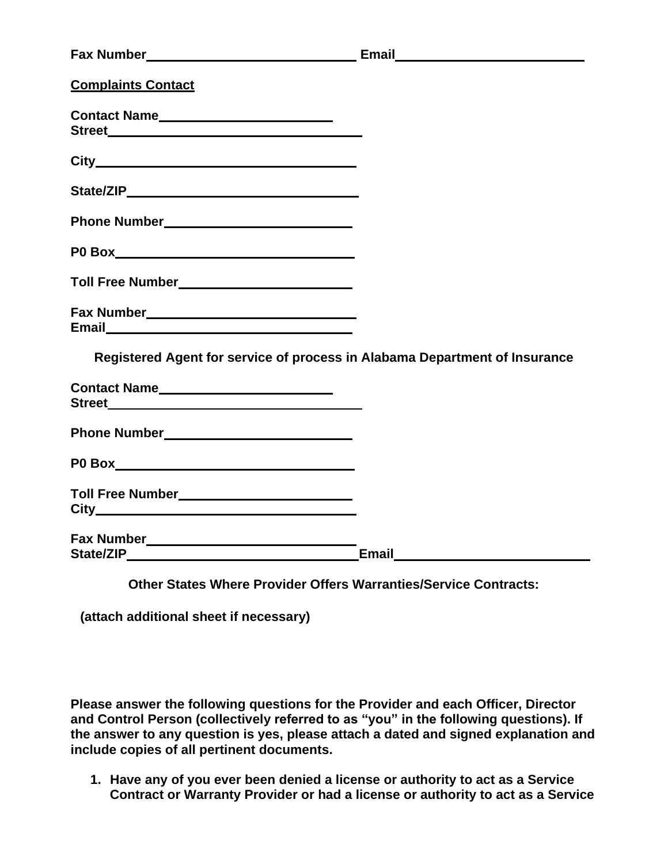| Street <u>and the state of the state of the state of the state of the state of the state of the state of the state of the state of the state of the state of the state of the state of the state of the state of the state of th</u> |
|--------------------------------------------------------------------------------------------------------------------------------------------------------------------------------------------------------------------------------------|
|                                                                                                                                                                                                                                      |
|                                                                                                                                                                                                                                      |
|                                                                                                                                                                                                                                      |
|                                                                                                                                                                                                                                      |
|                                                                                                                                                                                                                                      |
| Fax Number___________________________________                                                                                                                                                                                        |
| Registered Agent for service of process in Alabama Department of Insurance                                                                                                                                                           |
|                                                                                                                                                                                                                                      |
|                                                                                                                                                                                                                                      |
|                                                                                                                                                                                                                                      |
|                                                                                                                                                                                                                                      |
|                                                                                                                                                                                                                                      |
|                                                                                                                                                                                                                                      |

**Other States Where Provider Offers Warranties/Service Contracts:** 

**(attach additional sheet if necessary)**

**Please answer the following questions for the Provider and each Officer, Director and Control Person (collectively referred to as "you" in the following questions). If the answer to any question is yes, please attach a dated and signed explanation and include copies of all pertinent documents.**

**1. Have any of you ever been denied a license or authority to act as a Service Contract or Warranty Provider or had a license or authority to act as a Service**